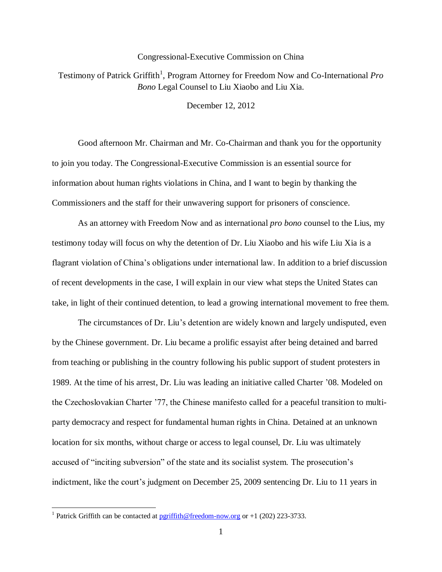## Congressional-Executive Commission on China

Testimony of Patrick Griffith<sup>1</sup>, Program Attorney for Freedom Now and Co-International Pro *Bono* Legal Counsel to Liu Xiaobo and Liu Xia.

December 12, 2012

Good afternoon Mr. Chairman and Mr. Co-Chairman and thank you for the opportunity to join you today. The Congressional-Executive Commission is an essential source for information about human rights violations in China, and I want to begin by thanking the Commissioners and the staff for their unwavering support for prisoners of conscience.

As an attorney with Freedom Now and as international *pro bono* counsel to the Lius, my testimony today will focus on why the detention of Dr. Liu Xiaobo and his wife Liu Xia is a flagrant violation of China's obligations under international law. In addition to a brief discussion of recent developments in the case, I will explain in our view what steps the United States can take, in light of their continued detention, to lead a growing international movement to free them.

The circumstances of Dr. Liu's detention are widely known and largely undisputed, even by the Chinese government. Dr. Liu became a prolific essayist after being detained and barred from teaching or publishing in the country following his public support of student protesters in 1989. At the time of his arrest, Dr. Liu was leading an initiative called Charter '08. Modeled on the Czechoslovakian Charter '77, the Chinese manifesto called for a peaceful transition to multiparty democracy and respect for fundamental human rights in China. Detained at an unknown location for six months, without charge or access to legal counsel, Dr. Liu was ultimately accused of "inciting subversion" of the state and its socialist system. The prosecution's indictment, like the court's judgment on December 25, 2009 sentencing Dr. Liu to 11 years in

 $\overline{\phantom{a}}$ 

<sup>&</sup>lt;sup>1</sup> Patrick Griffith can be contacted at  $\frac{\text{periffit}}{\text{triangle}$  (reedom-now.org or +1 (202) 223-3733.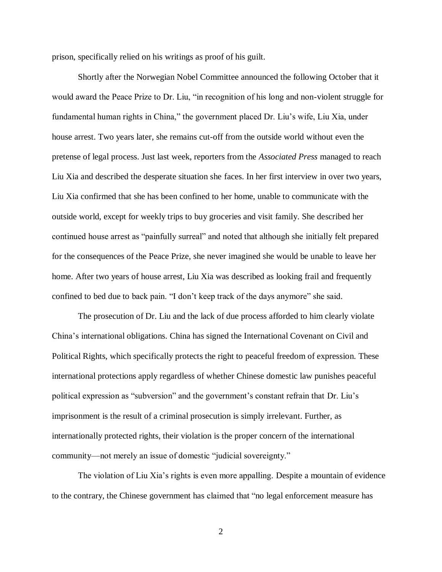prison, specifically relied on his writings as proof of his guilt.

Shortly after the Norwegian Nobel Committee announced the following October that it would award the Peace Prize to Dr. Liu, "in recognition of his long and non-violent struggle for fundamental human rights in China," the government placed Dr. Liu's wife, Liu Xia, under house arrest. Two years later, she remains cut-off from the outside world without even the pretense of legal process. Just last week, reporters from the *Associated Press* managed to reach Liu Xia and described the desperate situation she faces. In her first interview in over two years, Liu Xia confirmed that she has been confined to her home, unable to communicate with the outside world, except for weekly trips to buy groceries and visit family. She described her continued house arrest as "painfully surreal" and noted that although she initially felt prepared for the consequences of the Peace Prize, she never imagined she would be unable to leave her home. After two years of house arrest, Liu Xia was described as looking frail and frequently confined to bed due to back pain. "I don't keep track of the days anymore" she said.

The prosecution of Dr. Liu and the lack of due process afforded to him clearly violate China's international obligations. China has signed the International Covenant on Civil and Political Rights, which specifically protects the right to peaceful freedom of expression. These international protections apply regardless of whether Chinese domestic law punishes peaceful political expression as "subversion" and the government's constant refrain that Dr. Liu's imprisonment is the result of a criminal prosecution is simply irrelevant. Further, as internationally protected rights, their violation is the proper concern of the international community—not merely an issue of domestic "judicial sovereignty."

The violation of Liu Xia's rights is even more appalling. Despite a mountain of evidence to the contrary, the Chinese government has claimed that "no legal enforcement measure has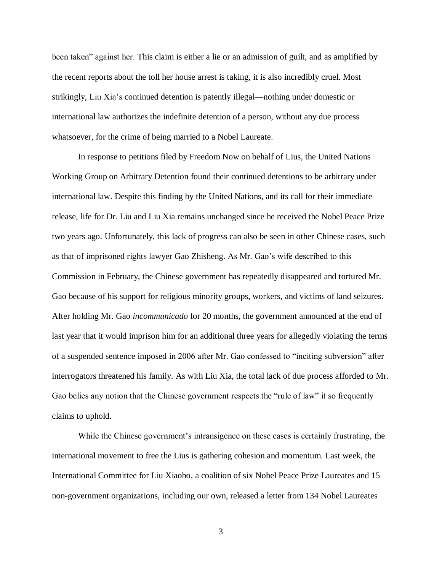been taken" against her. This claim is either a lie or an admission of guilt, and as amplified by the recent reports about the toll her house arrest is taking, it is also incredibly cruel. Most strikingly, Liu Xia's continued detention is patently illegal—nothing under domestic or international law authorizes the indefinite detention of a person, without any due process whatsoever, for the crime of being married to a Nobel Laureate.

In response to petitions filed by Freedom Now on behalf of Lius, the United Nations Working Group on Arbitrary Detention found their continued detentions to be arbitrary under international law. Despite this finding by the United Nations, and its call for their immediate release, life for Dr. Liu and Liu Xia remains unchanged since he received the Nobel Peace Prize two years ago. Unfortunately, this lack of progress can also be seen in other Chinese cases, such as that of imprisoned rights lawyer Gao Zhisheng. As Mr. Gao's wife described to this Commission in February, the Chinese government has repeatedly disappeared and tortured Mr. Gao because of his support for religious minority groups, workers, and victims of land seizures. After holding Mr. Gao *incommunicado* for 20 months, the government announced at the end of last year that it would imprison him for an additional three years for allegedly violating the terms of a suspended sentence imposed in 2006 after Mr. Gao confessed to "inciting subversion" after interrogators threatened his family. As with Liu Xia, the total lack of due process afforded to Mr. Gao belies any notion that the Chinese government respects the "rule of law" it so frequently claims to uphold.

While the Chinese government's intransigence on these cases is certainly frustrating, the international movement to free the Lius is gathering cohesion and momentum. Last week, the International Committee for Liu Xiaobo, a coalition of six Nobel Peace Prize Laureates and 15 non-government organizations, including our own, released a letter from 134 Nobel Laureates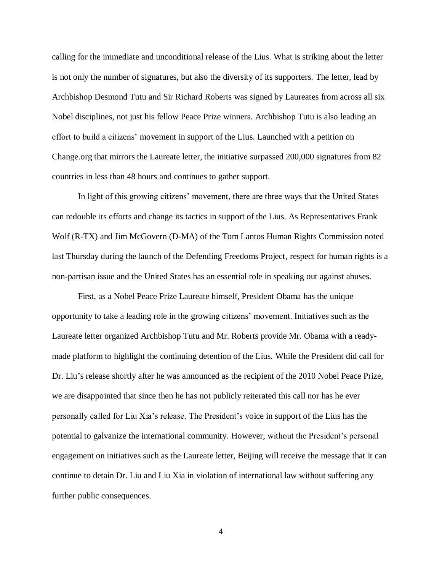calling for the immediate and unconditional release of the Lius. What is striking about the letter is not only the number of signatures, but also the diversity of its supporters. The letter, lead by Archbishop Desmond Tutu and Sir Richard Roberts was signed by Laureates from across all six Nobel disciplines, not just his fellow Peace Prize winners. Archbishop Tutu is also leading an effort to build a citizens' movement in support of the Lius. Launched with a petition on Change.org that mirrors the Laureate letter, the initiative surpassed 200,000 signatures from 82 countries in less than 48 hours and continues to gather support.

In light of this growing citizens' movement, there are three ways that the United States can redouble its efforts and change its tactics in support of the Lius. As Representatives Frank Wolf (R-TX) and Jim McGovern (D-MA) of the Tom Lantos Human Rights Commission noted last Thursday during the launch of the Defending Freedoms Project, respect for human rights is a non-partisan issue and the United States has an essential role in speaking out against abuses.

First, as a Nobel Peace Prize Laureate himself, President Obama has the unique opportunity to take a leading role in the growing citizens' movement. Initiatives such as the Laureate letter organized Archbishop Tutu and Mr. Roberts provide Mr. Obama with a readymade platform to highlight the continuing detention of the Lius. While the President did call for Dr. Liu's release shortly after he was announced as the recipient of the 2010 Nobel Peace Prize, we are disappointed that since then he has not publicly reiterated this call nor has he ever personally called for Liu Xia's release. The President's voice in support of the Lius has the potential to galvanize the international community. However, without the President's personal engagement on initiatives such as the Laureate letter, Beijing will receive the message that it can continue to detain Dr. Liu and Liu Xia in violation of international law without suffering any further public consequences.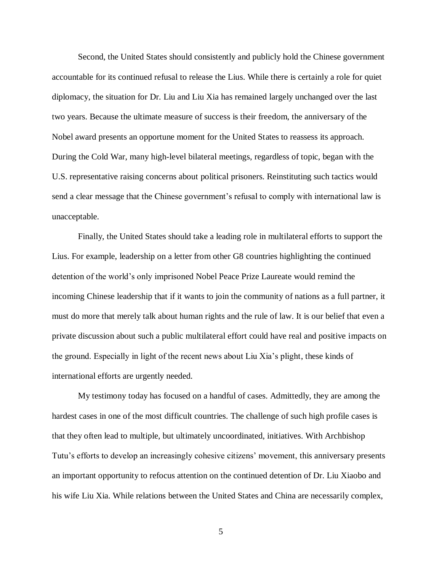Second, the United States should consistently and publicly hold the Chinese government accountable for its continued refusal to release the Lius. While there is certainly a role for quiet diplomacy, the situation for Dr. Liu and Liu Xia has remained largely unchanged over the last two years. Because the ultimate measure of success is their freedom, the anniversary of the Nobel award presents an opportune moment for the United States to reassess its approach. During the Cold War, many high-level bilateral meetings, regardless of topic, began with the U.S. representative raising concerns about political prisoners. Reinstituting such tactics would send a clear message that the Chinese government's refusal to comply with international law is unacceptable.

Finally, the United States should take a leading role in multilateral efforts to support the Lius. For example, leadership on a letter from other G8 countries highlighting the continued detention of the world's only imprisoned Nobel Peace Prize Laureate would remind the incoming Chinese leadership that if it wants to join the community of nations as a full partner, it must do more that merely talk about human rights and the rule of law. It is our belief that even a private discussion about such a public multilateral effort could have real and positive impacts on the ground. Especially in light of the recent news about Liu Xia's plight, these kinds of international efforts are urgently needed.

My testimony today has focused on a handful of cases. Admittedly, they are among the hardest cases in one of the most difficult countries. The challenge of such high profile cases is that they often lead to multiple, but ultimately uncoordinated, initiatives. With Archbishop Tutu's efforts to develop an increasingly cohesive citizens' movement, this anniversary presents an important opportunity to refocus attention on the continued detention of Dr. Liu Xiaobo and his wife Liu Xia. While relations between the United States and China are necessarily complex,